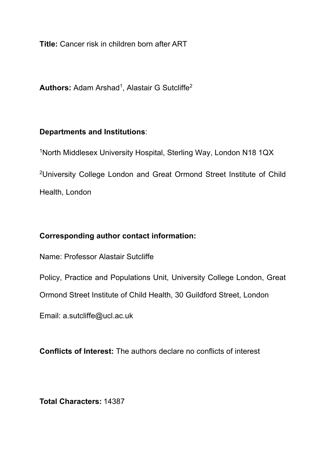**Title:** Cancer risk in children born after ART

**Authors:** Adam Arshad<sup>1</sup>, Alastair G Sutcliffe<sup>2</sup>

# **Departments and Institutions**:

<sup>1</sup>North Middlesex University Hospital, Sterling Way, London N18 1QX

<sup>2</sup>University College London and Great Ormond Street Institute of Child Health, London

# **Corresponding author contact information:**

Name: Professor Alastair Sutcliffe

Policy, Practice and Populations Unit, University College London, Great

Ormond Street Institute of Child Health, 30 Guildford Street, London

Email: a.sutcliffe@ucl.ac.uk

**Conflicts of Interest:** The authors declare no conflicts of interest

**Total Characters:** 14387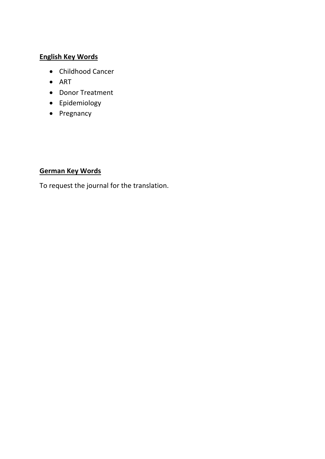# **English Key Words**

- Childhood Cancer
- ART
- Donor Treatment
- Epidemiology
- Pregnancy

## **German Key Words**

To request the journal for the translation.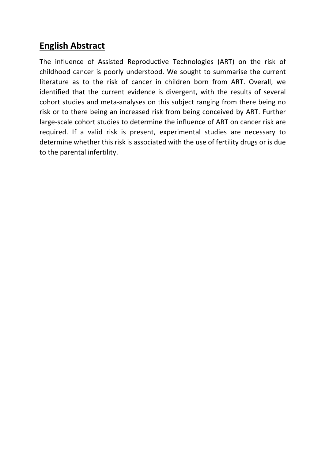# **English Abstract**

The influence of Assisted Reproductive Technologies (ART) on the risk of childhood cancer is poorly understood. We sought to summarise the current literature as to the risk of cancer in children born from ART. Overall, we identified that the current evidence is divergent, with the results of several cohort studies and meta-analyses on this subject ranging from there being no risk or to there being an increased risk from being conceived by ART. Further large-scale cohort studies to determine the influence of ART on cancer risk are required. If a valid risk is present, experimental studies are necessary to determine whether this risk is associated with the use of fertility drugs or is due to the parental infertility.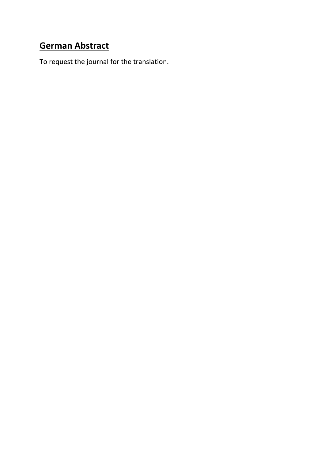# **German Abstract**

To request the journal for the translation.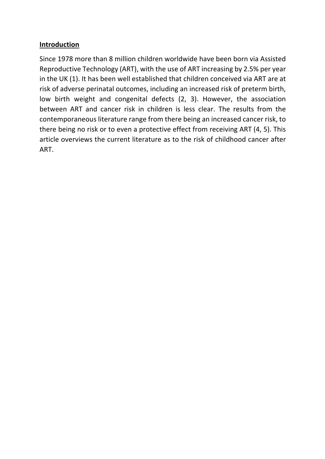#### **Introduction**

Since 1978 more than 8 million children worldwide have been born via Assisted Reproductive Technology (ART), with the use of ART increasing by 2.5% per year in the UK (1). It has been well established that children conceived via ART are at risk of adverse perinatal outcomes, including an increased risk of preterm birth, low birth weight and congenital defects (2, 3). However, the association between ART and cancer risk in children is less clear. The results from the contemporaneous literature range from there being an increased cancer risk, to there being no risk or to even a protective effect from receiving ART (4, 5). This article overviews the current literature as to the risk of childhood cancer after ART.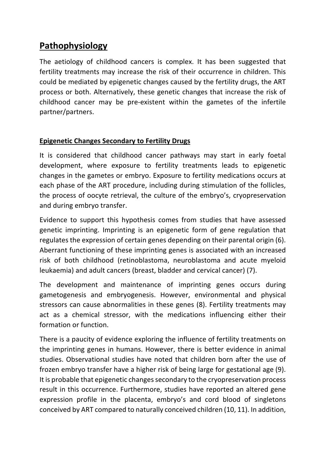# **Pathophysiology**

The aetiology of childhood cancers is complex. It has been suggested that fertility treatments may increase the risk of their occurrence in children. This could be mediated by epigenetic changes caused by the fertility drugs, the ART process or both. Alternatively, these genetic changes that increase the risk of childhood cancer may be pre-existent within the gametes of the infertile partner/partners.

## **Epigenetic Changes Secondary to Fertility Drugs**

It is considered that childhood cancer pathways may start in early foetal development, where exposure to fertility treatments leads to epigenetic changes in the gametes or embryo. Exposure to fertility medications occurs at each phase of the ART procedure, including during stimulation of the follicles, the process of oocyte retrieval, the culture of the embryo's, cryopreservation and during embryo transfer.

Evidence to support this hypothesis comes from studies that have assessed genetic imprinting. Imprinting is an epigenetic form of gene regulation that regulates the expression of certain genes depending on their parental origin (6). Aberrant functioning of these imprinting genes is associated with an increased risk of both childhood (retinoblastoma, neuroblastoma and acute myeloid leukaemia) and adult cancers (breast, bladder and cervical cancer) (7).

The development and maintenance of imprinting genes occurs during gametogenesis and embryogenesis. However, environmental and physical stressors can cause abnormalities in these genes (8). Fertility treatments may act as a chemical stressor, with the medications influencing either their formation or function.

There is a paucity of evidence exploring the influence of fertility treatments on the imprinting genes in humans. However, there is better evidence in animal studies. Observational studies have noted that children born after the use of frozen embryo transfer have a higher risk of being large for gestational age (9). It is probable that epigenetic changes secondary to the cryopreservation process result in this occurrence. Furthermore, studies have reported an altered gene expression profile in the placenta, embryo's and cord blood of singletons conceived by ART compared to naturally conceived children (10, 11). In addition,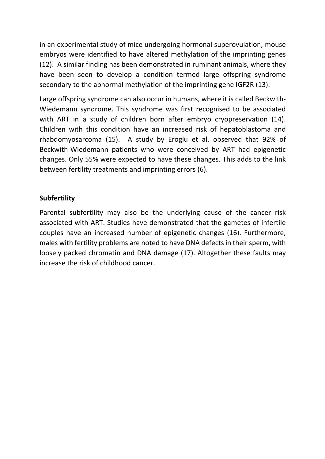in an experimental study of mice undergoing hormonal superovulation, mouse embryos were identified to have altered methylation of the imprinting genes (12). A similar finding has been demonstrated in ruminant animals, where they have been seen to develop a condition termed large offspring syndrome secondary to the abnormal methylation of the imprinting gene IGF2R (13).

Large offspring syndrome can also occur in humans, where it is called Beckwith-Wiedemann syndrome. This syndrome was first recognised to be associated with ART in a study of children born after embryo cryopreservation (14). Children with this condition have an increased risk of hepatoblastoma and rhabdomyosarcoma (15). A study by Eroglu et al. observed that 92% of Beckwith-Wiedemann patients who were conceived by ART had epigenetic changes. Only 55% were expected to have these changes. This adds to the link between fertility treatments and imprinting errors (6).

### **Subfertility**

Parental subfertility may also be the underlying cause of the cancer risk associated with ART. Studies have demonstrated that the gametes of infertile couples have an increased number of epigenetic changes (16). Furthermore, males with fertility problems are noted to have DNA defects in their sperm, with loosely packed chromatin and DNA damage (17). Altogether these faults may increase the risk of childhood cancer.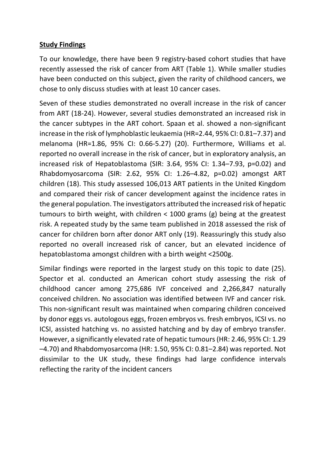#### **Study Findings**

To our knowledge, there have been 9 registry-based cohort studies that have recently assessed the risk of cancer from ART (Table 1). While smaller studies have been conducted on this subject, given the rarity of childhood cancers, we chose to only discuss studies with at least 10 cancer cases.

Seven of these studies demonstrated no overall increase in the risk of cancer from ART (18-24). However, several studies demonstrated an increased risk in the cancer subtypes in the ART cohort. Spaan et al. showed a non-significant increase in the risk of lymphoblastic leukaemia (HR=2.44, 95% CI: 0.81–7.37) and melanoma (HR=1.86, 95% CI: 0.66-5.27) (20). Furthermore, Williams et al. reported no overall increase in the risk of cancer, but in exploratory analysis, an increased risk of Hepatoblastoma (SIR: 3.64, 95% CI: 1.34–7.93, p=0.02) and Rhabdomyosarcoma (SIR: 2.62, 95% CI: 1.26–4.82, p=0.02) amongst ART children (18). This study assessed 106,013 ART patients in the United Kingdom and compared their risk of cancer development against the incidence rates in the general population. The investigators attributed the increased risk of hepatic tumours to birth weight, with children < 1000 grams (g) being at the greatest risk. A repeated study by the same team published in 2018 assessed the risk of cancer for children born after donor ART only (19). Reassuringly this study also reported no overall increased risk of cancer, but an elevated incidence of hepatoblastoma amongst children with a birth weight <2500g.

Similar findings were reported in the largest study on this topic to date (25). Spector et al. conducted an American cohort study assessing the risk of childhood cancer among 275,686 IVF conceived and 2,266,847 naturally conceived children. No association was identified between IVF and cancer risk. This non-significant result was maintained when comparing children conceived by donor eggs vs. autologous eggs, frozen embryos vs. fresh embryos, ICSI vs. no ICSI, assisted hatching vs. no assisted hatching and by day of embryo transfer. However, a significantly elevated rate of hepatic tumours (HR: 2.46, 95% CI: 1.29 –4.70) and Rhabdomyosarcoma (HR: 1.50, 95% CI: 0.81–2.84) was reported. Not dissimilar to the UK study, these findings had large confidence intervals reflecting the rarity of the incident cancers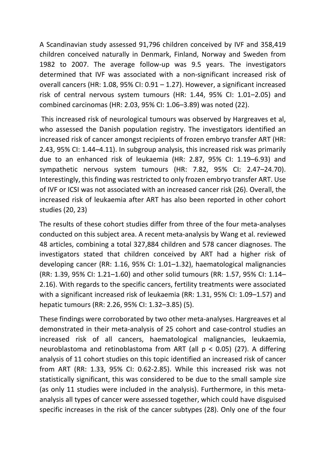A Scandinavian study assessed 91,796 children conceived by IVF and 358,419 children conceived naturally in Denmark, Finland, Norway and Sweden from 1982 to 2007. The average follow-up was 9.5 years. The investigators determined that IVF was associated with a non-significant increased risk of overall cancers (HR: 1.08, 95% CI: 0.91 – 1.27). However, a significant increased risk of central nervous system tumours (HR: 1.44, 95% CI: 1.01–2.05) and combined carcinomas (HR: 2.03, 95% CI: 1.06–3.89) was noted (22).

This increased risk of neurological tumours was observed by Hargreaves et al, who assessed the Danish population registry. The investigators identified an increased risk of cancer amongst recipients of frozen embryo transfer ART (HR: 2.43, 95% CI: 1.44–4.11). In subgroup analysis, this increased risk was primarily due to an enhanced risk of leukaemia (HR: 2.87, 95% CI: 1.19–6.93) and sympathetic nervous system tumours (HR: 7.82, 95% CI: 2.47–24.70). Interestingly, this finding was restricted to only frozen embryo transfer ART. Use of IVF or ICSI was not associated with an increased cancer risk (26). Overall, the increased risk of leukaemia after ART has also been reported in other cohort studies (20, 23)

The results of these cohort studies differ from three of the four meta-analyses conducted on this subject area. A recent meta-analysis by Wang et al. reviewed 48 articles, combining a total 327,884 children and 578 cancer diagnoses. The investigators stated that children conceived by ART had a higher risk of developing cancer (RR: 1.16, 95% CI: 1.01–1.32), haematological malignancies (RR: 1.39, 95% CI: 1.21–1.60) and other solid tumours (RR: 1.57, 95% CI: 1.14– 2.16). With regards to the specific cancers, fertility treatments were associated with a significant increased risk of leukaemia (RR: 1.31, 95% CI: 1.09–1.57) and hepatic tumours (RR: 2.26, 95% CI: 1.32–3.85) (5).

These findings were corroborated by two other meta-analyses. Hargreaves et al demonstrated in their meta-analysis of 25 cohort and case-control studies an increased risk of all cancers, haematological malignancies, leukaemia, neuroblastoma and retinoblastoma from ART (all  $p < 0.05$ ) (27). A differing analysis of 11 cohort studies on this topic identified an increased risk of cancer from ART (RR: 1.33, 95% CI: 0.62-2.85). While this increased risk was not statistically significant, this was considered to be due to the small sample size (as only 11 studies were included in the analysis). Furthermore, in this metaanalysis all types of cancer were assessed together, which could have disguised specific increases in the risk of the cancer subtypes (28). Only one of the four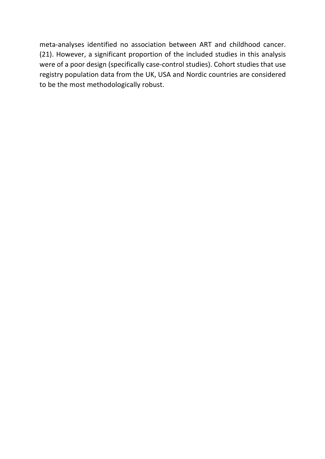meta-analyses identified no association between ART and childhood cancer. (21). However, a significant proportion of the included studies in this analysis were of a poor design (specifically case-control studies). Cohort studies that use registry population data from the UK, USA and Nordic countries are considered to be the most methodologically robust.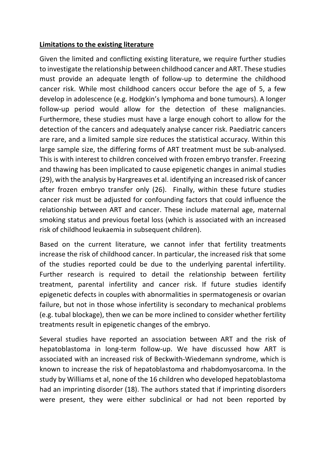#### **Limitations to the existing literature**

Given the limited and conflicting existing literature, we require further studies to investigate the relationship between childhood cancer and ART. These studies must provide an adequate length of follow-up to determine the childhood cancer risk. While most childhood cancers occur before the age of 5, a few develop in adolescence (e.g. Hodgkin's lymphoma and bone tumours). A longer follow-up period would allow for the detection of these malignancies. Furthermore, these studies must have a large enough cohort to allow for the detection of the cancers and adequately analyse cancer risk. Paediatric cancers are rare, and a limited sample size reduces the statistical accuracy. Within this large sample size, the differing forms of ART treatment must be sub-analysed. This is with interest to children conceived with frozen embryo transfer. Freezing and thawing has been implicated to cause epigenetic changes in animal studies (29), with the analysis by Hargreaves et al. identifying an increased risk of cancer after frozen embryo transfer only (26). Finally, within these future studies cancer risk must be adjusted for confounding factors that could influence the relationship between ART and cancer. These include maternal age, maternal smoking status and previous foetal loss (which is associated with an increased risk of childhood leukaemia in subsequent children).

Based on the current literature, we cannot infer that fertility treatments increase the risk of childhood cancer. In particular, the increased risk that some of the studies reported could be due to the underlying parental infertility. Further research is required to detail the relationship between fertility treatment, parental infertility and cancer risk. If future studies identify epigenetic defects in couples with abnormalities in spermatogenesis or ovarian failure, but not in those whose infertility is secondary to mechanical problems (e.g. tubal blockage), then we can be more inclined to consider whether fertility treatments result in epigenetic changes of the embryo.

Several studies have reported an association between ART and the risk of hepatoblastoma in long-term follow-up. We have discussed how ART is associated with an increased risk of Beckwith-Wiedemann syndrome, which is known to increase the risk of hepatoblastoma and rhabdomyosarcoma. In the study by Williams et al, none of the 16 children who developed hepatoblastoma had an imprinting disorder (18). The authors stated that if imprinting disorders were present, they were either subclinical or had not been reported by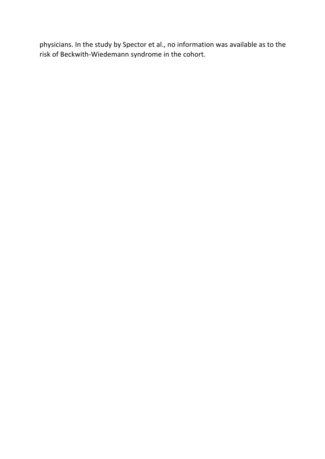physicians. In the study by Spector et al., no information was available as to the risk of Beckwith-Wiedemann syndrome in the cohort.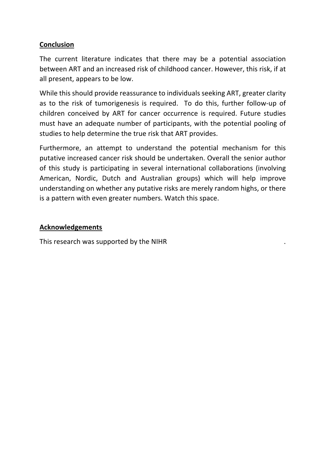### **Conclusion**

The current literature indicates that there may be a potential association between ART and an increased risk of childhood cancer. However, this risk, if at all present, appears to be low.

While this should provide reassurance to individuals seeking ART, greater clarity as to the risk of tumorigenesis is required. To do this, further follow-up of children conceived by ART for cancer occurrence is required. Future studies must have an adequate number of participants, with the potential pooling of studies to help determine the true risk that ART provides.

Furthermore, an attempt to understand the potential mechanism for this putative increased cancer risk should be undertaken. Overall the senior author of this study is participating in several international collaborations (involving American, Nordic, Dutch and Australian groups) which will help improve understanding on whether any putative risks are merely random highs, or there is a pattern with even greater numbers. Watch this space.

#### **Acknowledgements**

This research was supported by the NIHR .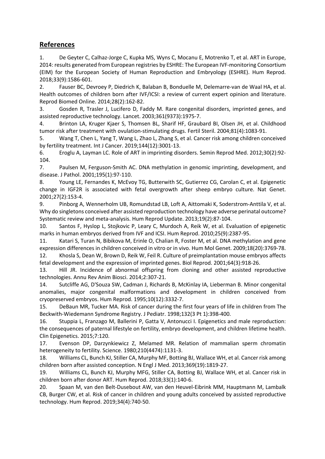#### **References**

1. De Geyter C, Calhaz-Jorge C, Kupka MS, Wyns C, Mocanu E, Motrenko T, et al. ART in Europe, 2014: results generated from European registries by ESHRE: The European IVF-monitoring Consortium (EIM) for the European Society of Human Reproduction and Embryology (ESHRE). Hum Reprod. 2018;33(9):1586-601.

2. Fauser BC, Devroey P, Diedrich K, Balaban B, Bonduelle M, Delemarre-van de Waal HA, et al. Health outcomes of children born after IVF/ICSI: a review of current expert opinion and literature. Reprod Biomed Online. 2014;28(2):162-82.

3. Gosden R, Trasler J, Lucifero D, Faddy M. Rare congenital disorders, imprinted genes, and assisted reproductive technology. Lancet. 2003;361(9373):1975-7.

4. Brinton LA, Kruger Kjaer S, Thomsen BL, Sharif HF, Graubard BI, Olsen JH, et al. Childhood tumor risk after treatment with ovulation-stimulating drugs. Fertil Steril. 2004;81(4):1083-91.

5. Wang T, Chen L, Yang T, Wang L, Zhao L, Zhang S, et al. Cancer risk among children conceived by fertility treatment. Int J Cancer. 2019;144(12):3001-13.

6. Eroglu A, Layman LC. Role of ART in imprinting disorders. Semin Reprod Med. 2012;30(2):92- 104.

7. Paulsen M, Ferguson-Smith AC. DNA methylation in genomic imprinting, development, and disease. J Pathol. 2001;195(1):97-110.

8. Young LE, Fernandes K, McEvoy TG, Butterwith SC, Gutierrez CG, Carolan C, et al. Epigenetic change in IGF2R is associated with fetal overgrowth after sheep embryo culture. Nat Genet. 2001;27(2):153-4.

9. Pinborg A, Wennerholm UB, Romundstad LB, Loft A, Aittomaki K, Soderstrom-Anttila V, et al. Why do singletons conceived after assisted reproduction technology have adverse perinatal outcome? Systematic review and meta-analysis. Hum Reprod Update. 2013;19(2):87-104.

10. Santos F, Hyslop L, Stojkovic P, Leary C, Murdoch A, Reik W, et al. Evaluation of epigenetic marks in human embryos derived from IVF and ICSI. Hum Reprod. 2010;25(9):2387-95.

11. Katari S, Turan N, Bibikova M, Erinle O, Chalian R, Foster M, et al. DNA methylation and gene expression differences in children conceived in vitro or in vivo. Hum Mol Genet. 2009;18(20):3769-78. 12. Khosla S, Dean W, Brown D, Reik W, Feil R. Culture of preimplantation mouse embryos affects fetal development and the expression of imprinted genes. Biol Reprod. 2001;64(3):918-26.

13. Hill JR. Incidence of abnormal offspring from cloning and other assisted reproductive technologies. Annu Rev Anim Biosci. 2014;2:307-21.

14. Sutcliffe AG, D'Souza SW, Cadman J, Richards B, McKinlay IA, Lieberman B. Minor congenital anomalies, major congenital malformations and development in children conceived from cryopreserved embryos. Hum Reprod. 1995;10(12):3332-7.

15. DeBaun MR, Tucker MA. Risk of cancer during the first four years of life in children from The Beckwith-Wiedemann Syndrome Registry. J Pediatr. 1998;132(3 Pt 1):398-400.

16. Stuppia L, Franzago M, Ballerini P, Gatta V, Antonucci I. Epigenetics and male reproduction: the consequences of paternal lifestyle on fertility, embryo development, and children lifetime health. Clin Epigenetics. 2015;7:120.

17. Evenson DP, Darzynkiewicz Z, Melamed MR. Relation of mammalian sperm chromatin heterogeneity to fertility. Science. 1980;210(4474):1131-3.

18. Williams CL, Bunch KJ, Stiller CA, Murphy MF, Botting BJ, Wallace WH, et al. Cancer risk among children born after assisted conception. N Engl J Med. 2013;369(19):1819-27.

19. Williams CL, Bunch KJ, Murphy MFG, Stiller CA, Botting BJ, Wallace WH, et al. Cancer risk in children born after donor ART. Hum Reprod. 2018;33(1):140-6.

20. Spaan M, van den Belt-Dusebout AW, van den Heuvel-Eibrink MM, Hauptmann M, Lambalk CB, Burger CW, et al. Risk of cancer in children and young adults conceived by assisted reproductive technology. Hum Reprod. 2019;34(4):740-50.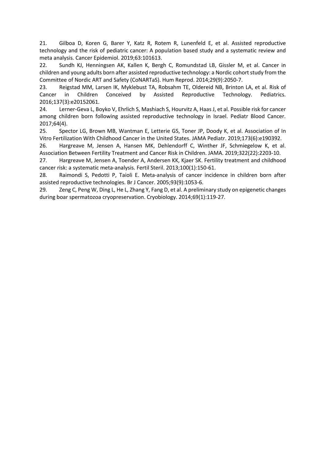21. Gilboa D, Koren G, Barer Y, Katz R, Rotem R, Lunenfeld E, et al. Assisted reproductive technology and the risk of pediatric cancer: A population based study and a systematic review and meta analysis. Cancer Epidemiol. 2019;63:101613.

22. Sundh KJ, Henningsen AK, Kallen K, Bergh C, Romundstad LB, Gissler M, et al. Cancer in children and young adults born after assisted reproductive technology: a Nordic cohort study from the Committee of Nordic ART and Safety (CoNARTaS). Hum Reprod. 2014;29(9):2050-7.

23. Reigstad MM, Larsen IK, Myklebust TA, Robsahm TE, Oldereid NB, Brinton LA, et al. Risk of Cancer in Children Conceived by Assisted Reproductive Technology. Pediatrics. 2016;137(3):e20152061.

24. Lerner-Geva L, Boyko V, Ehrlich S, Mashiach S, Hourvitz A, Haas J, et al. Possible risk for cancer among children born following assisted reproductive technology in Israel. Pediatr Blood Cancer. 2017;64(4).

25. Spector LG, Brown MB, Wantman E, Letterie GS, Toner JP, Doody K, et al. Association of In Vitro Fertilization With Childhood Cancer in the United States. JAMA Pediatr. 2019;173(6):e190392.

26. Hargreave M, Jensen A, Hansen MK, Dehlendorff C, Winther JF, Schmiegelow K, et al. Association Between Fertility Treatment and Cancer Risk in Children. JAMA. 2019;322(22):2203-10.

27. Hargreave M, Jensen A, Toender A, Andersen KK, Kjaer SK. Fertility treatment and childhood cancer risk: a systematic meta-analysis. Fertil Steril. 2013;100(1):150-61.

28. Raimondi S, Pedotti P, Taioli E. Meta-analysis of cancer incidence in children born after assisted reproductive technologies. Br J Cancer. 2005;93(9):1053-6.

29. Zeng C, Peng W, Ding L, He L, Zhang Y, Fang D, et al. A preliminary study on epigenetic changes during boar spermatozoa cryopreservation. Cryobiology. 2014;69(1):119-27.